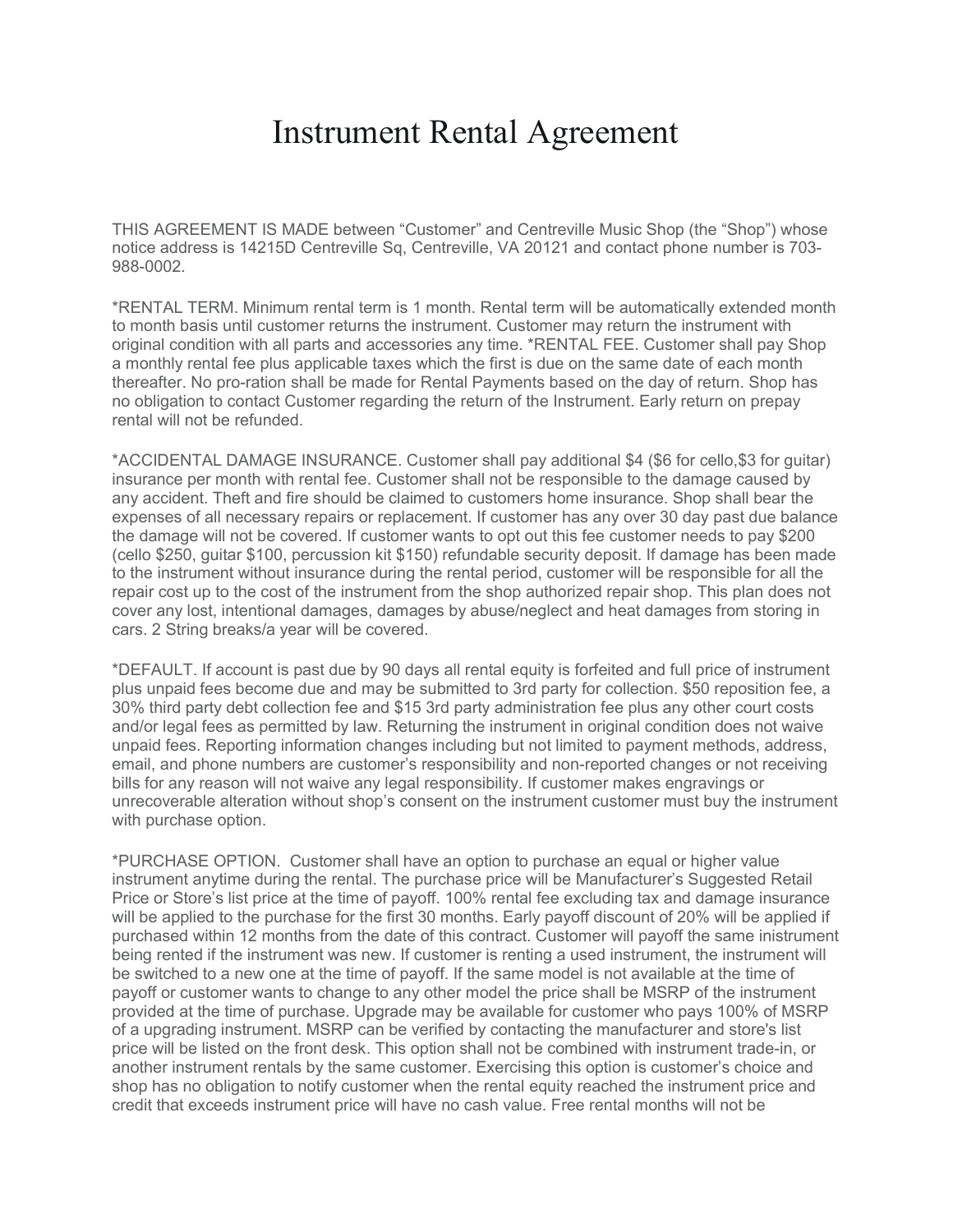## Instrument Rental Agreement

THIS AGREEMENT IS MADE between "Customer" and Centreville Music Shop (the "Shop") whose notice address is 14215D Centreville Sq, Centreville, VA 20121 and contact phone number is 703- 988-0002.

\*RENTAL TERM. Minimum rental term is 1 month. Rental term will be automatically extended month to month basis until customer returns the instrument. Customer may return the instrument with original condition with all parts and accessories any time. \*RENTAL FEE. Customer shall pay Shop a monthly rental fee plus applicable taxes which the first is due on the same date of each month thereafter. No pro-ration shall be made for Rental Payments based on the day of return. Shop has no obligation to contact Customer regarding the return of the Instrument. Early return on prepay rental will not be refunded.

\*ACCIDENTAL DAMAGE INSURANCE. Customer shall pay additional \$4 (\$6 for cello,\$3 for guitar) insurance per month with rental fee. Customer shall not be responsible to the damage caused by any accident. Theft and fire should be claimed to customers home insurance. Shop shall bear the expenses of all necessary repairs or replacement. If customer has any over 30 day past due balance the damage will not be covered. If customer wants to opt out this fee customer needs to pay \$200 (cello \$250, guitar \$100, percussion kit \$150) refundable security deposit. If damage has been made to the instrument without insurance during the rental period, customer will be responsible for all the repair cost up to the cost of the instrument from the shop authorized repair shop. This plan does not cover any lost, intentional damages, damages by abuse/neglect and heat damages from storing in cars. 2 String breaks/a year will be covered.

\*DEFAULT. If account is past due by 90 days all rental equity is forfeited and full price of instrument plus unpaid fees become due and may be submitted to 3rd party for collection. \$50 reposition fee, a 30% third party debt collection fee and \$15 3rd party administration fee plus any other court costs and/or legal fees as permitted by law. Returning the instrument in original condition does not waive unpaid fees. Reporting information changes including but not limited to payment methods, address, email, and phone numbers are customer's responsibility and non-reported changes or not receiving bills for any reason will not waive any legal responsibility. If customer makes engravings or unrecoverable alteration without shop's consent on the instrument customer must buy the instrument with purchase option.

\*PURCHASE OPTION. Customer shall have an option to purchase an equal or higher value instrument anytime during the rental. The purchase price will be Manufacturer's Suggested Retail Price or Store's list price at the time of payoff. 100% rental fee excluding tax and damage insurance will be applied to the purchase for the first 30 months. Early payoff discount of 20% will be applied if purchased within 12 months from the date of this contract. Customer will payoff the same inistrument being rented if the instrument was new. If customer is renting a used instrument, the instrument will be switched to a new one at the time of payoff. If the same model is not available at the time of payoff or customer wants to change to any other model the price shall be MSRP of the instrument provided at the time of purchase. Upgrade may be available for customer who pays 100% of MSRP of a upgrading instrument. MSRP can be verified by contacting the manufacturer and store's list price will be listed on the front desk. This option shall not be combined with instrument trade-in, or another instrument rentals by the same customer. Exercising this option is customer's choice and shop has no obligation to notify customer when the rental equity reached the instrument price and credit that exceeds instrument price will have no cash value. Free rental months will not be